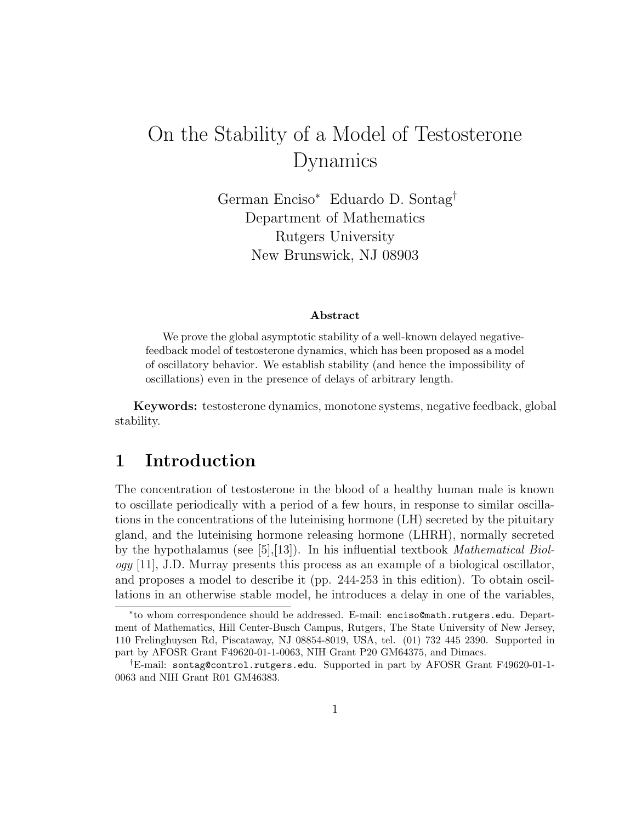# On the Stability of a Model of Testosterone Dynamics

German Enciso<sup>∗</sup> Eduardo D. Sontag† Department of Mathematics Rutgers University New Brunswick, NJ 08903

#### Abstract

We prove the global asymptotic stability of a well-known delayed negativefeedback model of testosterone dynamics, which has been proposed as a model of oscillatory behavior. We establish stability (and hence the impossibility of oscillations) even in the presence of delays of arbitrary length.

Keywords: testosterone dynamics, monotone systems, negative feedback, global stability.

## 1 Introduction

The concentration of testosterone in the blood of a healthy human male is known to oscillate periodically with a period of a few hours, in response to similar oscillations in the concentrations of the luteinising hormone (LH) secreted by the pituitary gland, and the luteinising hormone releasing hormone (LHRH), normally secreted by the hypothalamus (see [5],[13]). In his influential textbook Mathematical Biol- $\log y$  [11], J.D. Murray presents this process as an example of a biological oscillator, and proposes a model to describe it (pp. 244-253 in this edition). To obtain oscillations in an otherwise stable model, he introduces a delay in one of the variables,

<sup>∗</sup> to whom correspondence should be addressed. E-mail: enciso@math.rutgers.edu. Department of Mathematics, Hill Center-Busch Campus, Rutgers, The State University of New Jersey, 110 Frelinghuysen Rd, Piscataway, NJ 08854-8019, USA, tel. (01) 732 445 2390. Supported in part by AFOSR Grant F49620-01-1-0063, NIH Grant P20 GM64375, and Dimacs.

<sup>†</sup>E-mail: sontag@control.rutgers.edu. Supported in part by AFOSR Grant F49620-01-1- 0063 and NIH Grant R01 GM46383.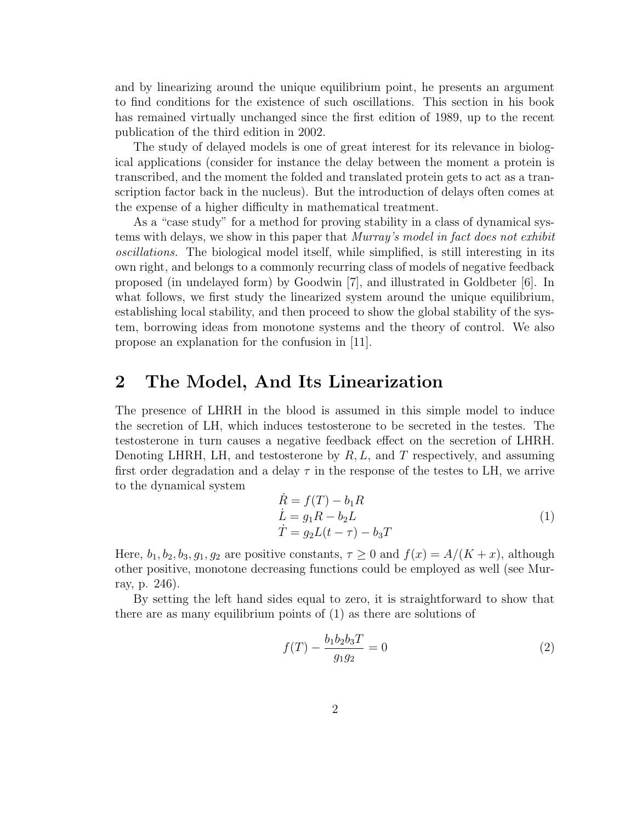and by linearizing around the unique equilibrium point, he presents an argument to find conditions for the existence of such oscillations. This section in his book has remained virtually unchanged since the first edition of 1989, up to the recent publication of the third edition in 2002.

The study of delayed models is one of great interest for its relevance in biological applications (consider for instance the delay between the moment a protein is transcribed, and the moment the folded and translated protein gets to act as a transcription factor back in the nucleus). But the introduction of delays often comes at the expense of a higher difficulty in mathematical treatment.

As a "case study" for a method for proving stability in a class of dynamical systems with delays, we show in this paper that Murray's model in fact does not exhibit oscillations. The biological model itself, while simplified, is still interesting in its own right, and belongs to a commonly recurring class of models of negative feedback proposed (in undelayed form) by Goodwin [7], and illustrated in Goldbeter [6]. In what follows, we first study the linearized system around the unique equilibrium, establishing local stability, and then proceed to show the global stability of the system, borrowing ideas from monotone systems and the theory of control. We also propose an explanation for the confusion in [11].

## 2 The Model, And Its Linearization

The presence of LHRH in the blood is assumed in this simple model to induce the secretion of LH, which induces testosterone to be secreted in the testes. The testosterone in turn causes a negative feedback effect on the secretion of LHRH. Denoting LHRH, LH, and testosterone by  $R, L$ , and T respectively, and assuming first order degradation and a delay  $\tau$  in the response of the testes to LH, we arrive to the dynamical system

$$
\dot{R} = f(T) - b_1 R
$$
\n
$$
\dot{L} = g_1 R - b_2 L
$$
\n
$$
\dot{T} = g_2 L (t - \tau) - b_3 T
$$
\n(1)

Here,  $b_1, b_2, b_3, g_1, g_2$  are positive constants,  $\tau \geq 0$  and  $f(x) = A/(K + x)$ , although other positive, monotone decreasing functions could be employed as well (see Murray, p. 246).

By setting the left hand sides equal to zero, it is straightforward to show that there are as many equilibrium points of (1) as there are solutions of

$$
f(T) - \frac{b_1 b_2 b_3 T}{g_1 g_2} = 0
$$
\n(2)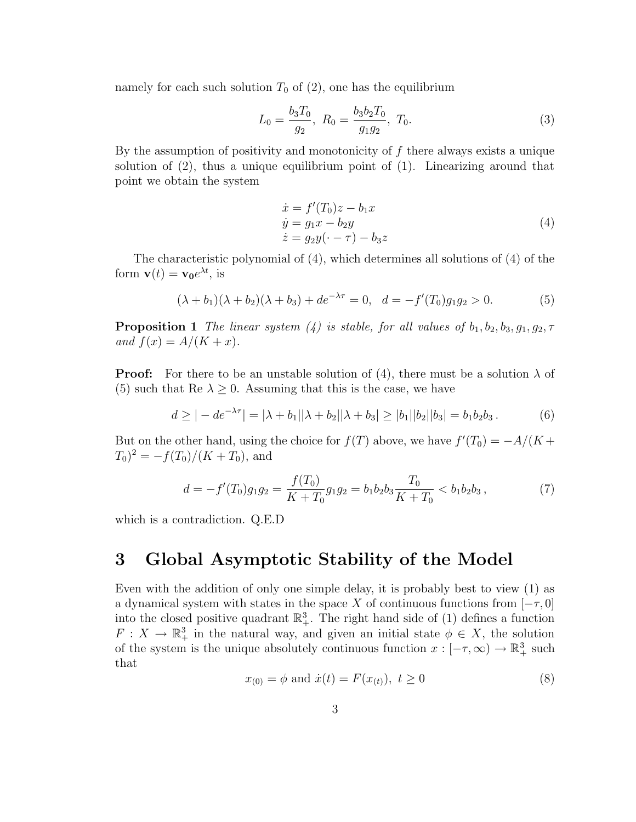namely for each such solution  $T_0$  of  $(2)$ , one has the equilibrium

$$
L_0 = \frac{b_3 T_0}{g_2}, \ R_0 = \frac{b_3 b_2 T_0}{g_1 g_2}, \ T_0.
$$
 (3)

By the assumption of positivity and monotonicity of  $f$  there always exists a unique solution of  $(2)$ , thus a unique equilibrium point of  $(1)$ . Linearizing around that point we obtain the system

$$
\begin{aligned}\n\dot{x} &= f'(T_0)z - b_1 x \\
\dot{y} &= g_1 x - b_2 y \\
\dot{z} &= g_2 y(\cdot - \tau) - b_3 z\n\end{aligned} \tag{4}
$$

The characteristic polynomial of (4), which determines all solutions of (4) of the form  $\mathbf{v}(t) = \mathbf{v_0}e^{\lambda t}$ , is

$$
(\lambda + b_1)(\lambda + b_2)(\lambda + b_3) + de^{-\lambda \tau} = 0, \quad d = -f'(T_0)g_1g_2 > 0.
$$
 (5)

**Proposition 1** The linear system (4) is stable, for all values of  $b_1, b_2, b_3, g_1, g_2, \tau$ and  $f(x) = A/(K + x)$ .

**Proof:** For there to be an unstable solution of (4), there must be a solution  $\lambda$  of (5) such that Re  $\lambda \geq 0$ . Assuming that this is the case, we have

$$
d \ge | -de^{-\lambda \tau} | = |\lambda + b_1||\lambda + b_2||\lambda + b_3| \ge |b_1||b_2||b_3| = b_1b_2b_3.
$$
 (6)

But on the other hand, using the choice for  $f(T)$  above, we have  $f'(T_0) = -A/(K +$  $(T_0)^2 = -f(T_0)/(K+T_0)$ , and

$$
d = -f'(T_0)g_1g_2 = \frac{f(T_0)}{K+T_0}g_1g_2 = b_1b_2b_3\frac{T_0}{K+T_0} < b_1b_2b_3,
$$
 (7)

which is a contradiction. Q.E.D

## 3 Global Asymptotic Stability of the Model

Even with the addition of only one simple delay, it is probably best to view (1) as a dynamical system with states in the space X of continuous functions from  $[-\tau, 0]$ into the closed positive quadrant  $\mathbb{R}^3_+$ . The right hand side of (1) defines a function  $F: X \to \mathbb{R}^3_+$  in the natural way, and given an initial state  $\phi \in X$ , the solution of the system is the unique absolutely continuous function  $x: [-\tau, \infty) \to \mathbb{R}^3_+$  such that

$$
x_{(0)} = \phi \text{ and } \dot{x}(t) = F(x_{(t)}), \ t \ge 0 \tag{8}
$$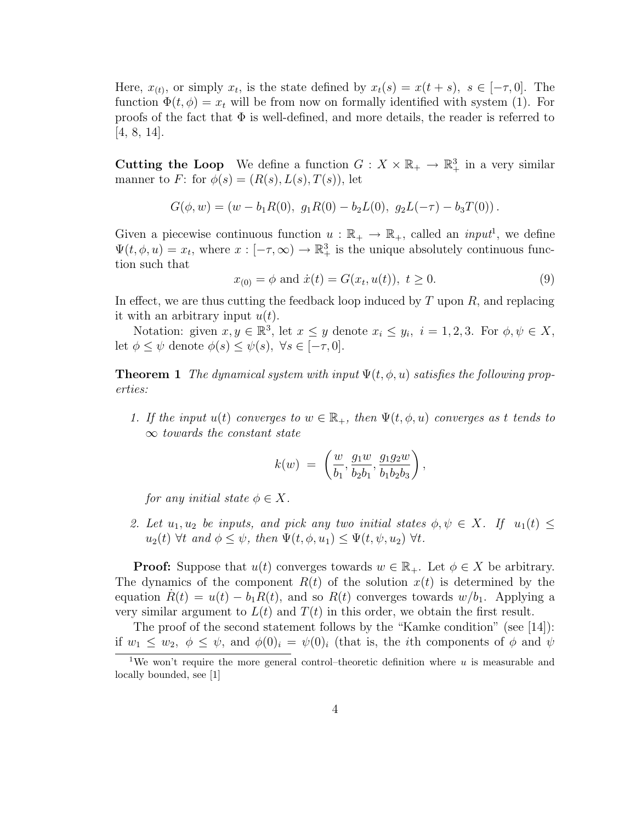Here,  $x_{(t)}$ , or simply  $x_t$ , is the state defined by  $x_t(s) = x(t+s)$ ,  $s \in [-\tau, 0]$ . The function  $\Phi(t, \phi) = x_t$  will be from now on formally identified with system (1). For proofs of the fact that  $\Phi$  is well-defined, and more details, the reader is referred to [4, 8, 14].

**Cutting the Loop** We define a function  $G: X \times \mathbb{R}_+ \to \mathbb{R}^3_+$  in a very similar manner to F: for  $\phi(s) = (R(s), L(s), T(s))$ , let

$$
G(\phi, w) = (w - b_1 R(0), g_1 R(0) - b_2 L(0), g_2 L(-\tau) - b_3 T(0)).
$$

Given a piecewise continuous function  $u : \mathbb{R}_+ \to \mathbb{R}_+$ , called an *input*<sup>1</sup>, we define  $\Psi(t, \phi, u) = x_t$ , where  $x : [-\tau, \infty) \to \mathbb{R}^3_+$  is the unique absolutely continuous function such that

$$
x_{(0)} = \phi \text{ and } \dot{x}(t) = G(x_t, u(t)), \ t \ge 0. \tag{9}
$$

In effect, we are thus cutting the feedback loop induced by  $T$  upon  $R$ , and replacing it with an arbitrary input  $u(t)$ .

Notation: given  $x, y \in \mathbb{R}^3$ , let  $x \leq y$  denote  $x_i \leq y_i$ ,  $i = 1, 2, 3$ . For  $\phi, \psi \in X$ , let  $\phi \leq \psi$  denote  $\phi(s) \leq \psi(s)$ ,  $\forall s \in [-\tau, 0]$ .

**Theorem 1** The dynamical system with input  $\Psi(t, \phi, u)$  satisfies the following properties:

1. If the input  $u(t)$  converges to  $w \in \mathbb{R}_+$ , then  $\Psi(t, \phi, u)$  converges as t tends to  $\infty$  towards the constant state

$$
k(w) = \left(\frac{w}{b_1}, \frac{g_1w}{b_2b_1}, \frac{g_1g_2w}{b_1b_2b_3}\right),
$$

for any initial state  $\phi \in X$ .

2. Let  $u_1, u_2$  be inputs, and pick any two initial states  $\phi, \psi \in X$ . If  $u_1(t) \leq$  $u_2(t)$   $\forall t$  and  $\phi \leq \psi$ , then  $\Psi(t, \phi, u_1) \leq \Psi(t, \psi, u_2)$   $\forall t$ .

**Proof:** Suppose that  $u(t)$  converges towards  $w \in \mathbb{R}_+$ . Let  $\phi \in X$  be arbitrary. The dynamics of the component  $R(t)$  of the solution  $x(t)$  is determined by the equation  $R(t) = u(t) - b_1 R(t)$ , and so  $R(t)$  converges towards  $w/b_1$ . Applying a very similar argument to  $L(t)$  and  $T(t)$  in this order, we obtain the first result.

The proof of the second statement follows by the "Kamke condition" (see [14]): if  $w_1 \leq w_2$ ,  $\phi \leq \psi$ , and  $\phi(0)_i = \psi(0)_i$  (that is, the *i*th components of  $\phi$  and  $\psi$ 

<sup>&</sup>lt;sup>1</sup>We won't require the more general control–theoretic definition where  $u$  is measurable and locally bounded, see [1]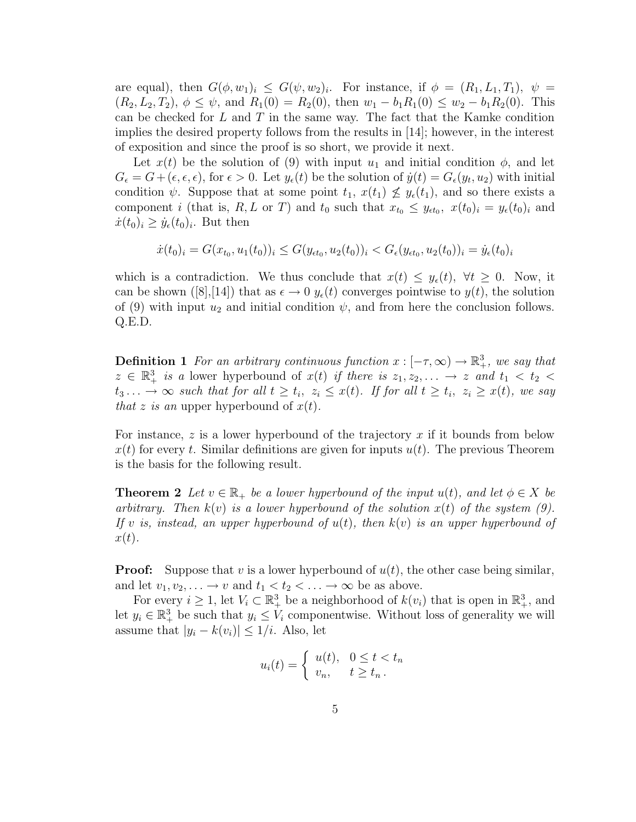are equal), then  $G(\phi, w_1)_i \leq G(\psi, w_2)_i$ . For instance, if  $\phi = (R_1, L_1, T_1)$ ,  $\psi =$  $(R_2, L_2, T_2), \phi \leq \psi$ , and  $R_1(0) = R_2(0)$ , then  $w_1 - b_1 R_1(0) \leq w_2 - b_1 R_2(0)$ . This can be checked for  $L$  and  $T$  in the same way. The fact that the Kamke condition implies the desired property follows from the results in [14]; however, in the interest of exposition and since the proof is so short, we provide it next.

Let  $x(t)$  be the solution of (9) with input  $u_1$  and initial condition  $\phi$ , and let  $G_{\epsilon} = G + (\epsilon,\epsilon,\epsilon)$ , for  $\epsilon > 0$ . Let  $y_{\epsilon}(t)$  be the solution of  $\dot{y}(t) = G_{\epsilon}(y_t, u_2)$  with initial condition  $\psi$ . Suppose that at some point  $t_1, x(t_1) \not\leq y_{\epsilon}(t_1)$ , and so there exists a component *i* (that is, R, L or T) and  $t_0$  such that  $x_{t_0} \leq y_{\epsilon t_0}$ ,  $x(t_0)_i = y_{\epsilon}(t_0)_i$  and  $\dot{x}(t_0)_i \geq \dot{y}_\epsilon(t_0)_i$ . But then

$$
\dot{x}(t_0)_i = G(x_{t_0}, u_1(t_0))_i \le G(y_{\epsilon t_0}, u_2(t_0))_i < G_{\epsilon}(y_{\epsilon t_0}, u_2(t_0))_i = \dot{y}_{\epsilon}(t_0)_i
$$

which is a contradiction. We thus conclude that  $x(t) \leq y_{\epsilon}(t)$ ,  $\forall t \geq 0$ . Now, it can be shown ([8],[14]) that as  $\epsilon \to 0$   $y_{\epsilon}(t)$  converges pointwise to  $y(t)$ , the solution of (9) with input  $u_2$  and initial condition  $\psi$ , and from here the conclusion follows. Q.E.D.

**Definition 1** For an arbitrary continuous function  $x : [-\tau, \infty) \to \mathbb{R}^3_+$ , we say that  $z \in \mathbb{R}^3_+$  is a lower hyperbound of  $x(t)$  if there is  $z_1, z_2, \ldots \rightarrow z$  and  $t_1 < t_2 <$  $t_3 \ldots \to \infty$  such that for all  $t \geq t_i$ ,  $z_i \leq x(t)$ . If for all  $t \geq t_i$ ,  $z_i \geq x(t)$ , we say that z is an upper hyperbound of  $x(t)$ .

For instance,  $z$  is a lower hyperbound of the trajectory  $x$  if it bounds from below  $x(t)$  for every t. Similar definitions are given for inputs  $u(t)$ . The previous Theorem is the basis for the following result.

**Theorem 2** Let  $v \in \mathbb{R}_+$  be a lower hyperbound of the input  $u(t)$ , and let  $\phi \in X$  be arbitrary. Then  $k(v)$  is a lower hyperbound of the solution  $x(t)$  of the system (9). If v is, instead, an upper hyperbound of  $u(t)$ , then  $k(v)$  is an upper hyperbound of  $x(t)$ .

**Proof:** Suppose that v is a lower hyperbound of  $u(t)$ , the other case being similar, and let  $v_1, v_2, \ldots \rightarrow v$  and  $t_1 < t_2 < \ldots \rightarrow \infty$  be as above.

For every  $i \geq 1$ , let  $V_i \subset \mathbb{R}^3_+$  be a neighborhood of  $k(v_i)$  that is open in  $\mathbb{R}^3_+$ , and let  $y_i \in \mathbb{R}^3_+$  be such that  $y_i \leq V_i$  componentwise. Without loss of generality we will assume that  $|y_i - k(v_i)| \leq 1/i$ . Also, let

$$
u_i(t) = \begin{cases} u(t), & 0 \le t < t_n \\ v_n, & t \ge t_n. \end{cases}
$$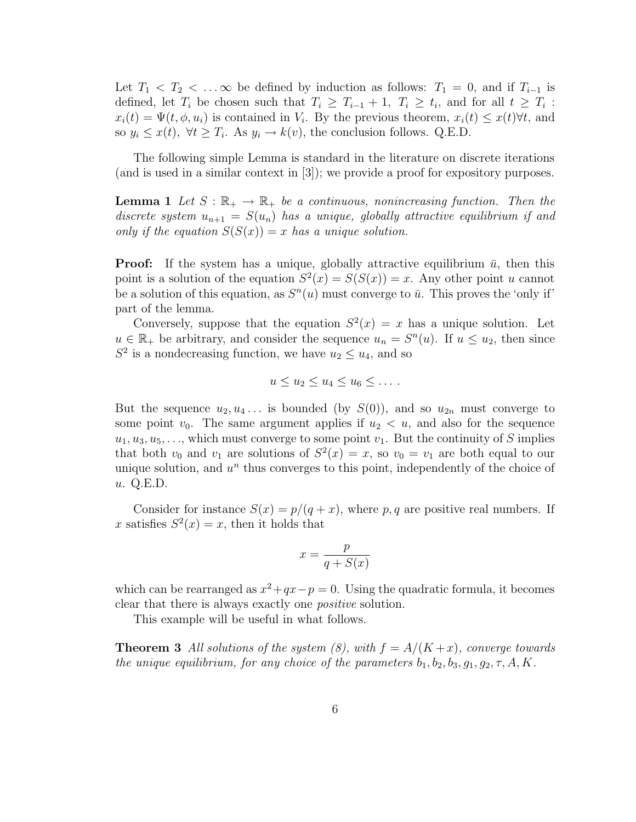Let  $T_1 < T_2 < \ldots \infty$  be defined by induction as follows:  $T_1 = 0$ , and if  $T_{i-1}$  is defined, let  $T_i$  be chosen such that  $T_i \geq T_{i-1} + 1$ ,  $T_i \geq t_i$ , and for all  $t \geq T_i$ :  $x_i(t) = \Psi(t, \phi, u_i)$  is contained in  $V_i$ . By the previous theorem,  $x_i(t) \leq x(t) \forall t$ , and so  $y_i \leq x(t)$ ,  $\forall t \geq T_i$ . As  $y_i \rightarrow k(v)$ , the conclusion follows. Q.E.D.

The following simple Lemma is standard in the literature on discrete iterations (and is used in a similar context in [3]); we provide a proof for expository purposes.

**Lemma 1** Let  $S : \mathbb{R}_+ \to \mathbb{R}_+$  be a continuous, nonincreasing function. Then the discrete system  $u_{n+1} = S(u_n)$  has a unique, globally attractive equilibrium if and only if the equation  $S(S(x)) = x$  has a unique solution.

**Proof:** If the system has a unique, globally attractive equilibrium  $\bar{u}$ , then this point is a solution of the equation  $S^2(x) = S(S(x)) = x$ . Any other point u cannot be a solution of this equation, as  $S<sup>n</sup>(u)$  must converge to  $\bar{u}$ . This proves the 'only if' part of the lemma.

Conversely, suppose that the equation  $S^2(x) = x$  has a unique solution. Let  $u \in \mathbb{R}_+$  be arbitrary, and consider the sequence  $u_n = S^n(u)$ . If  $u \le u_2$ , then since  $S^2$  is a nondecreasing function, we have  $u_2 \leq u_4$ , and so

$$
u \le u_2 \le u_4 \le u_6 \le \dots.
$$

But the sequence  $u_2, u_4, \ldots$  is bounded (by  $S(0)$ ), and so  $u_{2n}$  must converge to some point  $v_0$ . The same argument applies if  $u_2 < u$ , and also for the sequence  $u_1, u_3, u_5, \ldots$ , which must converge to some point  $v_1$ . But the continuity of S implies that both  $v_0$  and  $v_1$  are solutions of  $S^2(x) = x$ , so  $v_0 = v_1$  are both equal to our unique solution, and  $u^n$  thus converges to this point, independently of the choice of u. Q.E.D.

Consider for instance  $S(x) = p/(q + x)$ , where p, q are positive real numbers. If x satisfies  $S^2(x) = x$ , then it holds that

$$
x = \frac{p}{q + S(x)}
$$

which can be rearranged as  $x^2+qx-p=0$ . Using the quadratic formula, it becomes clear that there is always exactly one positive solution.

This example will be useful in what follows.

**Theorem 3** All solutions of the system (8), with  $f = A/(K + x)$ , converge towards the unique equilibrium, for any choice of the parameters  $b_1, b_2, b_3, g_1, g_2, \tau, A, K$ .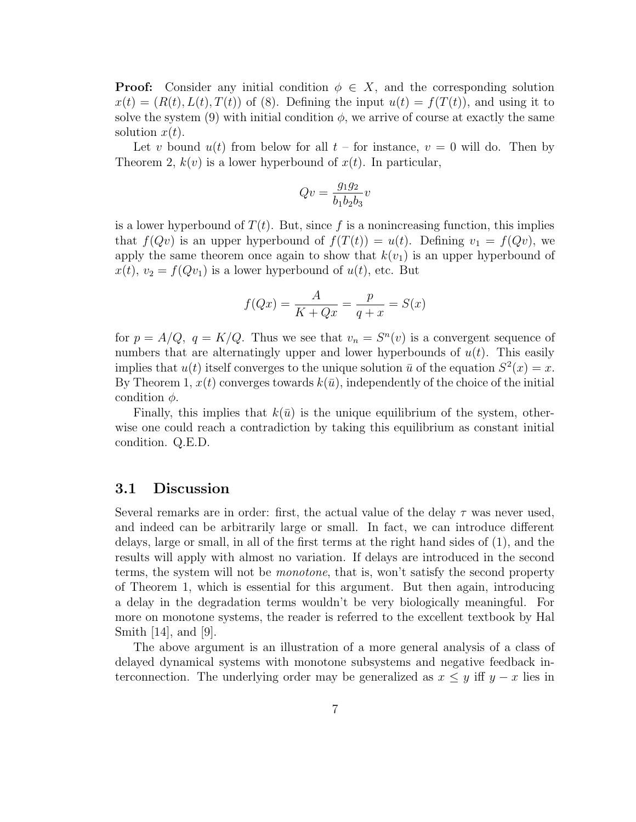**Proof:** Consider any initial condition  $\phi \in X$ , and the corresponding solution  $x(t) = (R(t), L(t), T(t))$  of (8). Defining the input  $u(t) = f(T(t))$ , and using it to solve the system (9) with initial condition  $\phi$ , we arrive of course at exactly the same solution  $x(t)$ .

Let v bound  $u(t)$  from below for all  $t$  – for instance,  $v = 0$  will do. Then by Theorem 2,  $k(v)$  is a lower hyperbound of  $x(t)$ . In particular,

$$
Qv = \frac{g_1 g_2}{b_1 b_2 b_3} v
$$

is a lower hyperbound of  $T(t)$ . But, since f is a nonincreasing function, this implies that  $f(Qv)$  is an upper hyperbound of  $f(T(t)) = u(t)$ . Defining  $v_1 = f(Qv)$ , we apply the same theorem once again to show that  $k(v_1)$  is an upper hyperbound of  $x(t), v_2 = f(Qv_1)$  is a lower hyperbound of  $u(t)$ , etc. But

$$
f(Qx) = \frac{A}{K + Qx} = \frac{p}{q + x} = S(x)
$$

for  $p = A/Q$ ,  $q = K/Q$ . Thus we see that  $v_n = S^n(v)$  is a convergent sequence of numbers that are alternatingly upper and lower hyperbounds of  $u(t)$ . This easily implies that  $u(t)$  itself converges to the unique solution  $\bar{u}$  of the equation  $S^2(x) = x$ . By Theorem 1,  $x(t)$  converges towards  $k(\bar{u})$ , independently of the choice of the initial condition  $\phi$ .

Finally, this implies that  $k(\bar{u})$  is the unique equilibrium of the system, otherwise one could reach a contradiction by taking this equilibrium as constant initial condition. Q.E.D.

#### 3.1 Discussion

Several remarks are in order: first, the actual value of the delay  $\tau$  was never used, and indeed can be arbitrarily large or small. In fact, we can introduce different delays, large or small, in all of the first terms at the right hand sides of (1), and the results will apply with almost no variation. If delays are introduced in the second terms, the system will not be monotone, that is, won't satisfy the second property of Theorem 1, which is essential for this argument. But then again, introducing a delay in the degradation terms wouldn't be very biologically meaningful. For more on monotone systems, the reader is referred to the excellent textbook by Hal Smith [14], and [9].

The above argument is an illustration of a more general analysis of a class of delayed dynamical systems with monotone subsystems and negative feedback interconnection. The underlying order may be generalized as  $x \leq y$  iff  $y - x$  lies in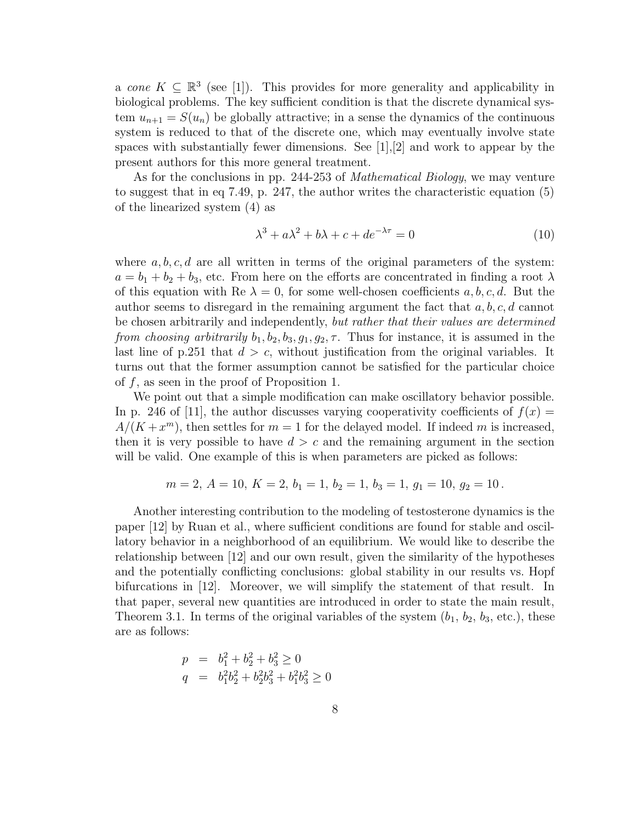a cone  $K \subseteq \mathbb{R}^3$  (see [1]). This provides for more generality and applicability in biological problems. The key sufficient condition is that the discrete dynamical system  $u_{n+1} = S(u_n)$  be globally attractive; in a sense the dynamics of the continuous system is reduced to that of the discrete one, which may eventually involve state spaces with substantially fewer dimensions. See [1],[2] and work to appear by the present authors for this more general treatment.

As for the conclusions in pp. 244-253 of Mathematical Biology, we may venture to suggest that in eq 7.49, p. 247, the author writes the characteristic equation (5) of the linearized system (4) as

$$
\lambda^3 + a\lambda^2 + b\lambda + c + de^{-\lambda \tau} = 0 \tag{10}
$$

where  $a, b, c, d$  are all written in terms of the original parameters of the system:  $a = b_1 + b_2 + b_3$ , etc. From here on the efforts are concentrated in finding a root  $\lambda$ of this equation with Re  $\lambda = 0$ , for some well-chosen coefficients a, b, c, d. But the author seems to disregard in the remaining argument the fact that  $a, b, c, d$  cannot be chosen arbitrarily and independently, but rather that their values are determined from choosing arbitrarily  $b_1, b_2, b_3, q_1, q_2, \tau$ . Thus for instance, it is assumed in the last line of p.251 that  $d > c$ , without justification from the original variables. It turns out that the former assumption cannot be satisfied for the particular choice of  $f$ , as seen in the proof of Proposition 1.

We point out that a simple modification can make oscillatory behavior possible. In p. 246 of [11], the author discusses varying cooperativity coefficients of  $f(x)$  =  $A/(K+x^m)$ , then settles for  $m=1$  for the delayed model. If indeed m is increased, then it is very possible to have  $d > c$  and the remaining argument in the section will be valid. One example of this is when parameters are picked as follows:

$$
m = 2, A = 10, K = 2, b1 = 1, b2 = 1, b3 = 1, g1 = 10, g2 = 10.
$$

Another interesting contribution to the modeling of testosterone dynamics is the paper [12] by Ruan et al., where sufficient conditions are found for stable and oscillatory behavior in a neighborhood of an equilibrium. We would like to describe the relationship between [12] and our own result, given the similarity of the hypotheses and the potentially conflicting conclusions: global stability in our results vs. Hopf bifurcations in [12]. Moreover, we will simplify the statement of that result. In that paper, several new quantities are introduced in order to state the main result, Theorem 3.1. In terms of the original variables of the system  $(b_1, b_2, b_3, \text{etc.})$ , these are as follows:

$$
p = b_1^2 + b_2^2 + b_3^2 \ge 0
$$
  
\n
$$
q = b_1^2b_2^2 + b_2^2b_3^2 + b_1^2b_3^2 \ge 0
$$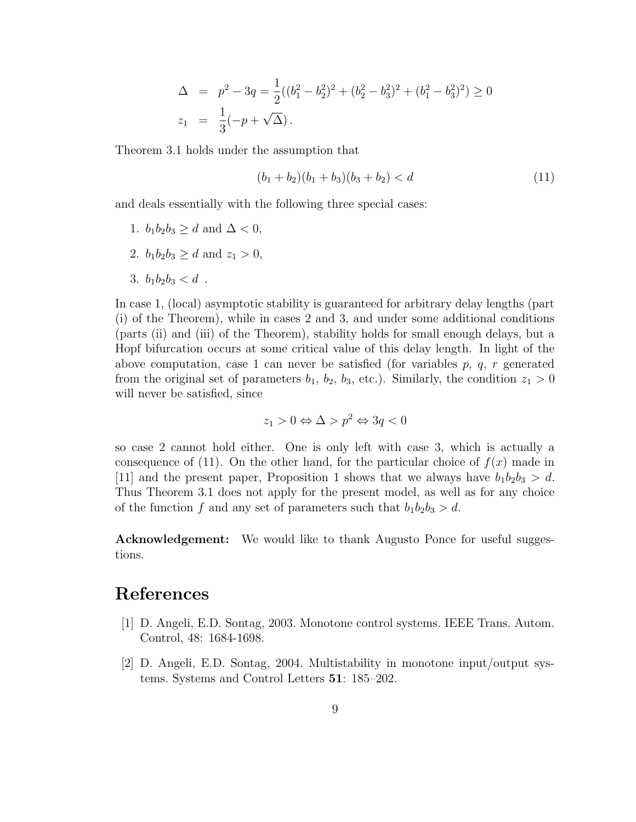$$
\Delta = p^2 - 3q = \frac{1}{2}((b_1^2 - b_2^2)^2 + (b_2^2 - b_3^2)^2 + (b_1^2 - b_3^2)^2) \ge 0
$$
  

$$
z_1 = \frac{1}{3}(-p + \sqrt{\Delta}).
$$

Theorem 3.1 holds under the assumption that

$$
(b_1 + b_2)(b_1 + b_3)(b_3 + b_2) < d \tag{11}
$$

and deals essentially with the following three special cases:

- 1.  $b_1b_2b_3 \geq d$  and  $\Delta < 0$ ,
- 2.  $b_1b_2b_3 \geq d$  and  $z_1 > 0$ ,
- 3.  $b_1b_2b_3 < d$ .

In case 1, (local) asymptotic stability is guaranteed for arbitrary delay lengths (part (i) of the Theorem), while in cases 2 and 3, and under some additional conditions (parts (ii) and (iii) of the Theorem), stability holds for small enough delays, but a Hopf bifurcation occurs at some critical value of this delay length. In light of the above computation, case 1 can never be satisfied (for variables  $p, q, r$  generated from the original set of parameters  $b_1$ ,  $b_2$ ,  $b_3$ , etc.). Similarly, the condition  $z_1 > 0$ will never be satisfied, since

$$
z_1 > 0 \Leftrightarrow \Delta > p^2 \Leftrightarrow 3q < 0
$$

so case 2 cannot hold either. One is only left with case 3, which is actually a consequence of (11). On the other hand, for the particular choice of  $f(x)$  made in [11] and the present paper, Proposition 1 shows that we always have  $b_1b_2b_3 > d$ . Thus Theorem 3.1 does not apply for the present model, as well as for any choice of the function f and any set of parameters such that  $b_1b_2b_3 > d$ .

Acknowledgement: We would like to thank Augusto Ponce for useful suggestions.

#### References

- [1] D. Angeli, E.D. Sontag, 2003. Monotone control systems. IEEE Trans. Autom. Control, 48: 1684-1698.
- [2] D. Angeli, E.D. Sontag, 2004. Multistability in monotone input/output systems. Systems and Control Letters 51: 185–202.